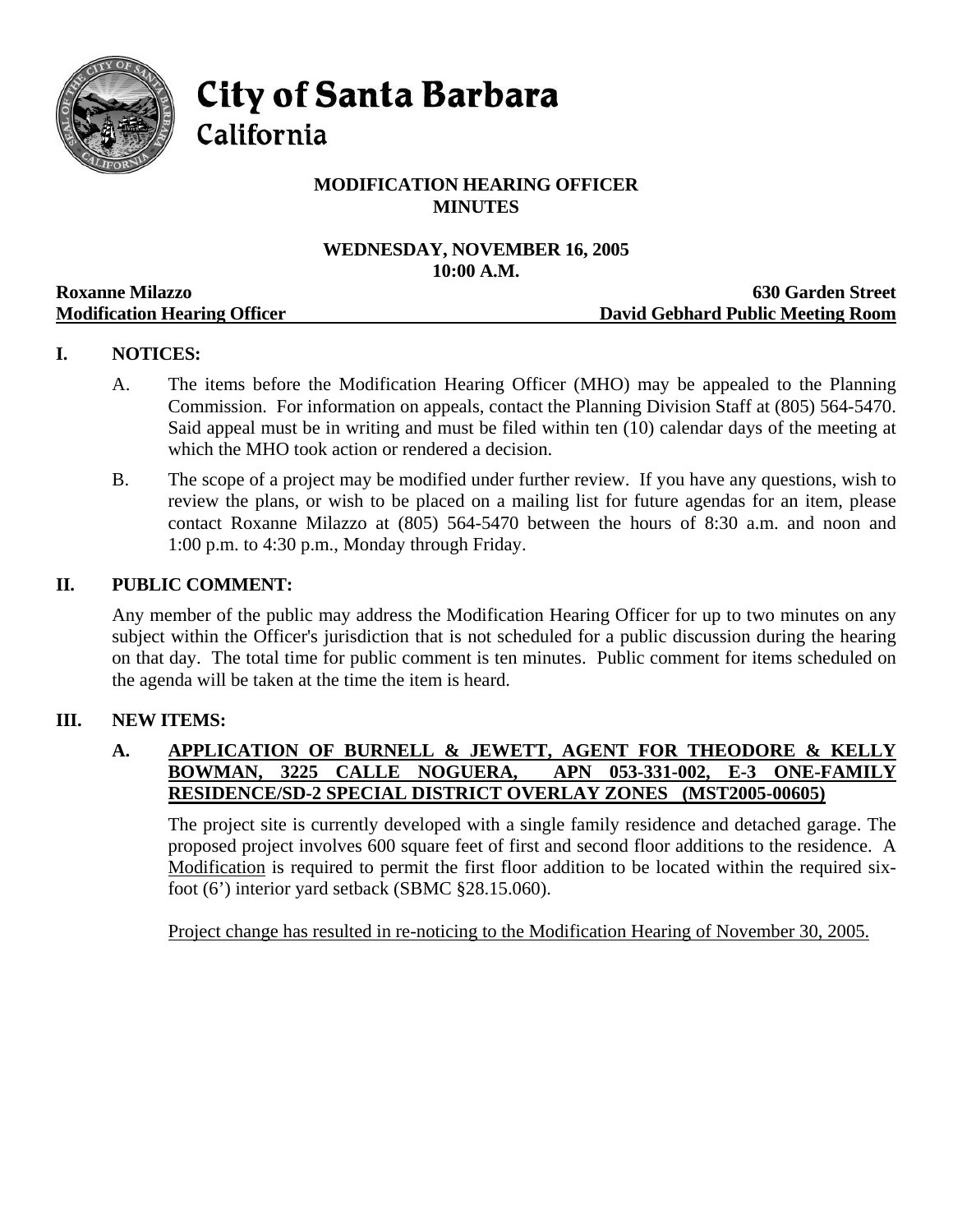

**City of Santa Barbara** 

California

# **MODIFICATION HEARING OFFICER MINUTES**

# **WEDNESDAY, NOVEMBER 16, 2005 10:00 A.M.**

|                                     | TAYAAA TIRTAYII                   |
|-------------------------------------|-----------------------------------|
| <b>Roxanne Milazzo</b>              | <b>630 Garden Street</b>          |
| <b>Modification Hearing Officer</b> | David Gebhard Public Meeting Room |

## **I. NOTICES:**

- A. The items before the Modification Hearing Officer (MHO) may be appealed to the Planning Commission. For information on appeals, contact the Planning Division Staff at (805) 564-5470. Said appeal must be in writing and must be filed within ten (10) calendar days of the meeting at which the MHO took action or rendered a decision.
- B. The scope of a project may be modified under further review. If you have any questions, wish to review the plans, or wish to be placed on a mailing list for future agendas for an item, please contact Roxanne Milazzo at (805) 564-5470 between the hours of 8:30 a.m. and noon and 1:00 p.m. to 4:30 p.m., Monday through Friday.

#### **II. PUBLIC COMMENT:**

Any member of the public may address the Modification Hearing Officer for up to two minutes on any subject within the Officer's jurisdiction that is not scheduled for a public discussion during the hearing on that day. The total time for public comment is ten minutes. Public comment for items scheduled on the agenda will be taken at the time the item is heard.

## **III. NEW ITEMS:**

#### **A. APPLICATION OF BURNELL & JEWETT, AGENT FOR THEODORE & KELLY BOWMAN, 3225 CALLE NOGUERA, APN 053-331-002, E-3 ONE-FAMILY RESIDENCE/SD-2 SPECIAL DISTRICT OVERLAY ZONES (MST2005-00605)**

The project site is currently developed with a single family residence and detached garage. The proposed project involves 600 square feet of first and second floor additions to the residence. A Modification is required to permit the first floor addition to be located within the required sixfoot (6') interior yard setback (SBMC §28.15.060).

Project change has resulted in re-noticing to the Modification Hearing of November 30, 2005.